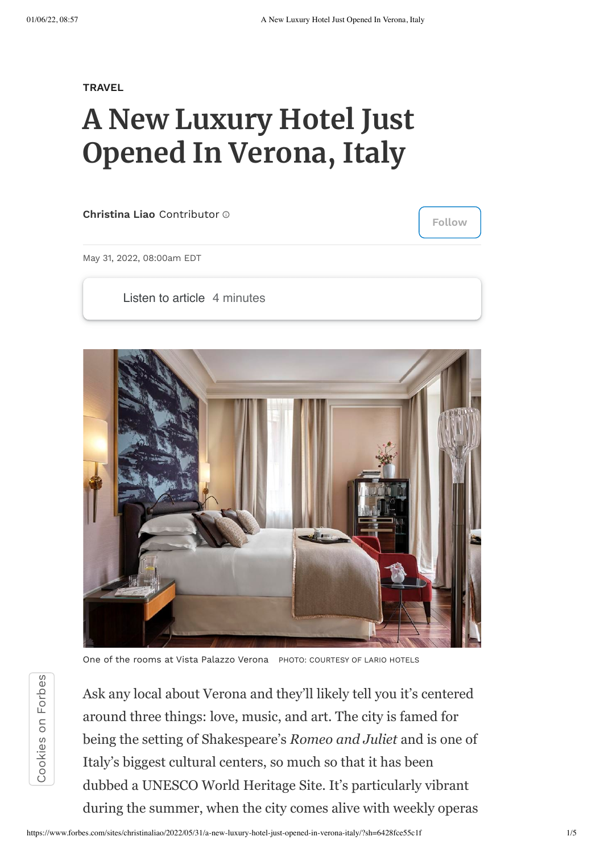Cookies

ត<br>ក

Forbes

**Follow**

**[TRAVEL](https://www.forbes.com/travel)**

## **A New Luxury Hotel Just Opened In Verona, Italy**

**[Christina](https://www.forbes.com/sites/christinaliao/) Liao** Contributor

May 31, 2022, 08:00am EDT

Listen to article 4 minutes



One of the rooms at Vista Palazzo Verona PHOTO: COURTESY OF LARIO HOTELS

Ask any local about Verona and they'll likely tell you it's centered around three things: love, music, and art. The city is famed for being the setting of Shakespeare's *Romeo and Juliet* and is one of Italy's biggest cultural centers, so much so that it has been dubbed a UNESCO World Heritage Site. It's particularly vibrant during the summer, when the city comes alive with weekly operas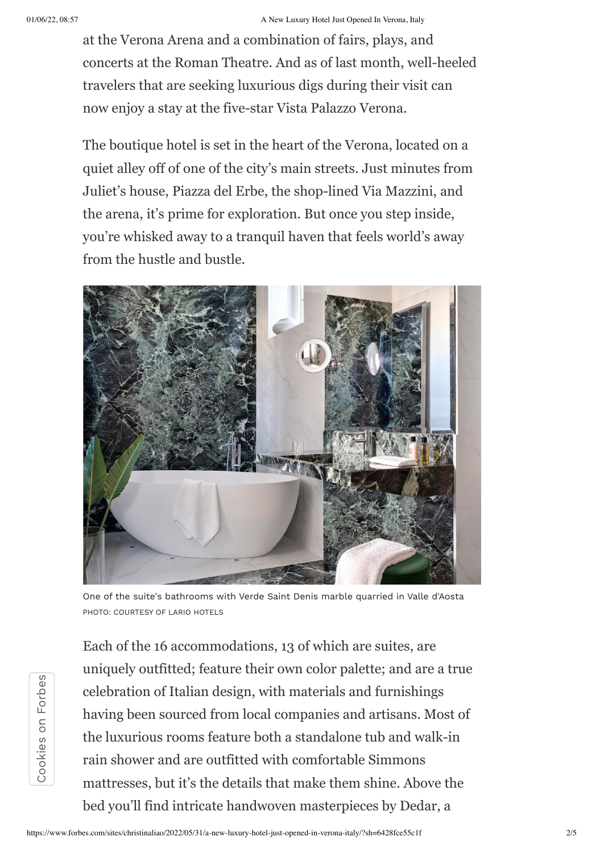Cookies

ត<br>ក

Forbes

at the Verona Arena and a combination of fairs, plays, and concerts at the Roman Theatre. And as of last month, well-heeled travelers that are seeking luxurious digs during their visit can now enjoy a stay at the five-star Vista Palazzo Verona.

The boutique hotel is set in the heart of the Verona, located on a quiet alley off of one of the city's main streets. Just minutes from Juliet's house, Piazza del Erbe, the shop-lined Via Mazzini, and the arena, it's prime for exploration. But once you step inside, you're whisked away to a tranquil haven that feels world's away from the hustle and bustle.



One of the suite's bathrooms with Verde Saint Denis marble quarried in Valle d'Aosta PHOTO: COURTESY OF LARIO HOTELS

Each of the 16 accommodations, 13 of which are suites, are uniquely outfitted; feature their own color palette; and are a true celebration of Italian design, with materials and furnishings having been sourced from local companies and artisans. Most of the luxurious rooms feature both a standalone tub and walk-in rain shower and are outfitted with comfortable Simmons mattresses, but it's the details that make them shine. Above the bed you'll find intricate handwoven masterpieces by Dedar, a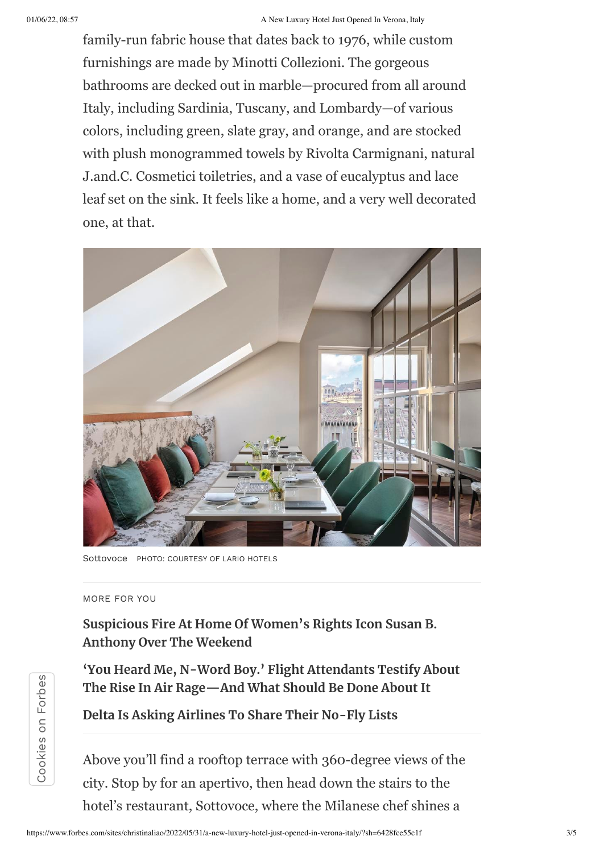## 01/06/22, 08:57 A New Luxury Hotel Just Opened In Verona, Italy

family-run fabric house that dates back to 1976, while custom furnishings are made by Minotti Collezioni. The gorgeous bathrooms are decked out in marble—procured from all around Italy, including Sardinia, Tuscany, and Lombardy—of various colors, including green, slate gray, and orange, and are stocked with plush monogrammed towels by Rivolta Carmignani, natural J.and.C. Cosmetici toiletries, and a vase of eucalyptus and lace leaf set on the sink. It feels like a home, and a very well decorated one, at that.



Sottovoce PHOTO: COURTESY OF LARIO HOTELS

## MORE FOR YOU

Cookies

ត<br>ក

Forbes

**[Suspicious Fire At Home Of Women's Rights Icon Susan B.](https://www.forbes.com/sites/suzannerowankelleher/2021/09/27/fire-womens-rights-susan-b-anthony/) Anthony Over The Weekend**

**['You Heard Me, N-Word Boy.' Flight Attendants Testify About](https://www.forbes.com/sites/suzannerowankelleher/2021/09/25/flight-attendants-testify-air-rage/) The Rise In Air Rage—And What Should Be Done About It**

**[Delta Is Asking Airlines To Share Their No-Fly Lists](https://www.forbes.com/sites/suzannerowankelleher/2021/09/25/delta-is-asking-airlines-to-share-their-no-fly-lists/)**

Above you'll find a rooftop terrace with 360-degree views of the city. Stop by for an apertivo, then head down the stairs to the hotel's restaurant, Sottovoce, where the Milanese chef shines a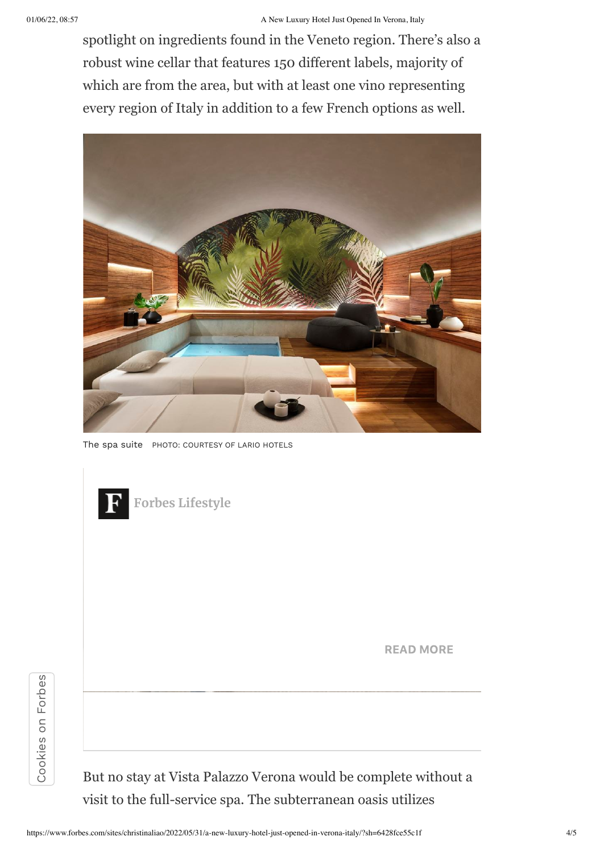spotlight on ingredients found in the Veneto region. There's also a robust wine cellar that features 150 different labels, majority of which are from the area, but with at least one vino representing every region of Italy in addition to a few French options as well.



The spa suite PHOTO: COURTESY OF LARIO HOTELS



**Forbes Lifestyle**

READ [MORE](https://www.forbes.com/sites/oliviaperez/2022/05/31/how-house-of-lon-is-paving-the-way-for-a-new-generation-of-furniture-lovers/?traffic_source=Connatix)



But no stay at Vista Palazzo Verona would be complete without a visit to the full-service spa. The subterranean oasis utilizes